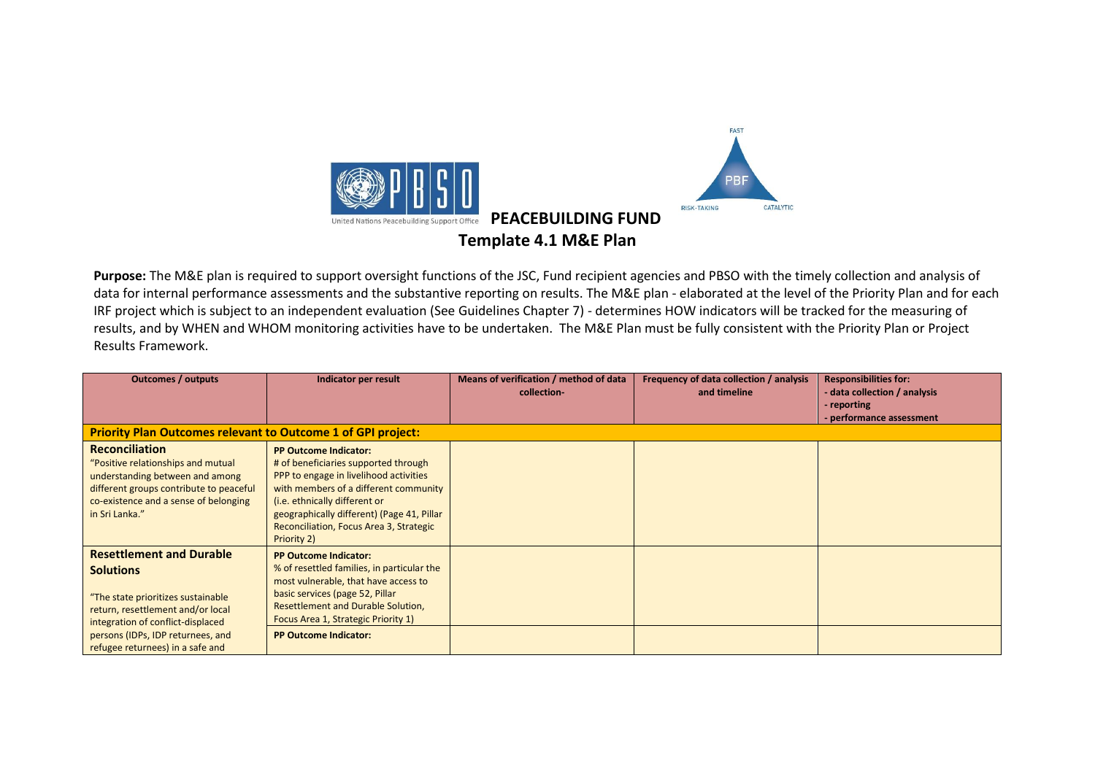

**Purpose:** The M&E plan is required to support oversight functions of the JSC, Fund recipient agencies and PBSO with the timely collection and analysis of data for internal performance assessments and the substantive reporting on results. The M&E plan - elaborated at the level of the Priority Plan and for each IRF project which is subject to an independent evaluation (See Guidelines Chapter 7) - determines HOW indicators will be tracked for the measuring of results, and by WHEN and WHOM monitoring activities have to be undertaken. The M&E Plan must be fully consistent with the Priority Plan or Project Results Framework.

| <b>Outcomes / outputs</b>                                           | Indicator per result                       | Means of verification / method of data | Frequency of data collection / analysis | <b>Responsibilities for:</b> |
|---------------------------------------------------------------------|--------------------------------------------|----------------------------------------|-----------------------------------------|------------------------------|
|                                                                     |                                            | collection-                            | and timeline                            | - data collection / analysis |
|                                                                     |                                            |                                        |                                         | - reporting                  |
|                                                                     |                                            |                                        |                                         | - performance assessment     |
| <b>Priority Plan Outcomes relevant to Outcome 1 of GPI project:</b> |                                            |                                        |                                         |                              |
| <b>Reconciliation</b>                                               | <b>PP Outcome Indicator:</b>               |                                        |                                         |                              |
| "Positive relationships and mutual                                  | # of beneficiaries supported through       |                                        |                                         |                              |
| understanding between and among                                     | PPP to engage in livelihood activities     |                                        |                                         |                              |
| different groups contribute to peaceful                             | with members of a different community      |                                        |                                         |                              |
| co-existence and a sense of belonging                               | (i.e. ethnically different or              |                                        |                                         |                              |
| in Sri Lanka."                                                      | geographically different) (Page 41, Pillar |                                        |                                         |                              |
|                                                                     | Reconciliation, Focus Area 3, Strategic    |                                        |                                         |                              |
|                                                                     | Priority 2)                                |                                        |                                         |                              |
| <b>Resettlement and Durable</b>                                     | <b>PP Outcome Indicator:</b>               |                                        |                                         |                              |
| <b>Solutions</b>                                                    | % of resettled families, in particular the |                                        |                                         |                              |
|                                                                     | most vulnerable, that have access to       |                                        |                                         |                              |
| "The state prioritizes sustainable                                  | basic services (page 52, Pillar            |                                        |                                         |                              |
| return, resettlement and/or local                                   | <b>Resettlement and Durable Solution,</b>  |                                        |                                         |                              |
| integration of conflict-displaced                                   | Focus Area 1, Strategic Priority 1)        |                                        |                                         |                              |
| persons (IDPs, IDP returnees, and                                   | <b>PP Outcome Indicator:</b>               |                                        |                                         |                              |
| refugee returnees) in a safe and                                    |                                            |                                        |                                         |                              |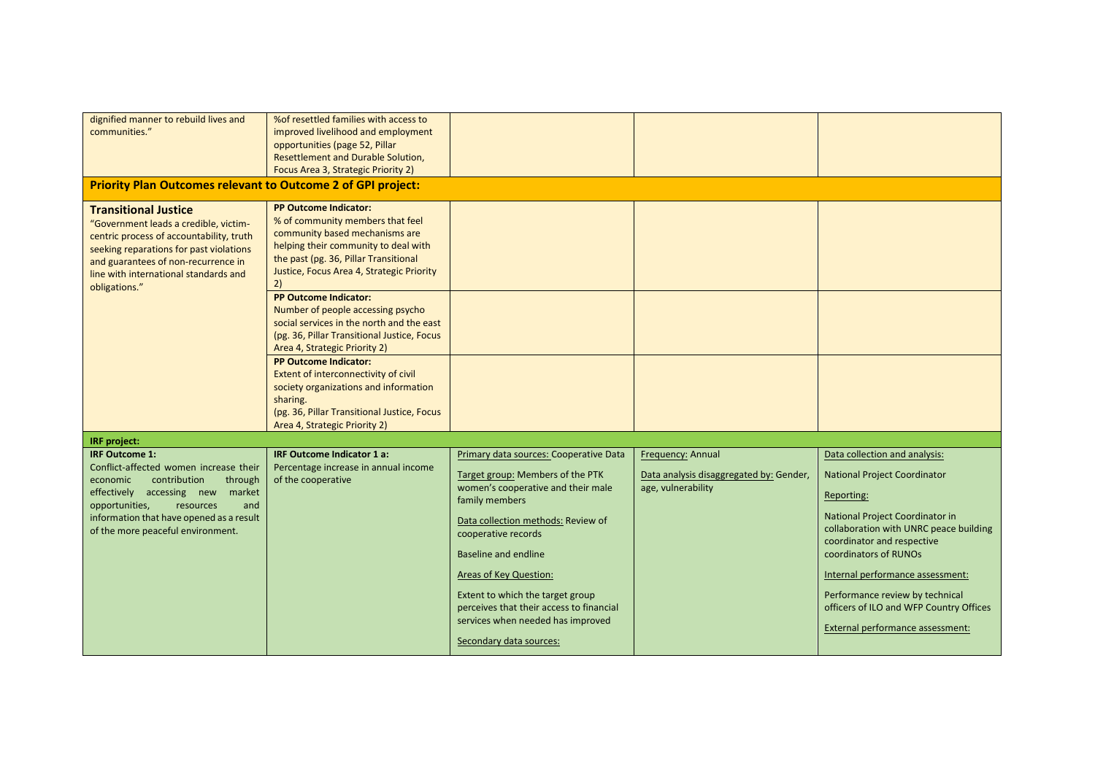| dignified manner to rebuild lives and<br>communities."                                                                                                                                                                                                               | % of resettled families with access to<br>improved livelihood and employment<br>opportunities (page 52, Pillar<br>Resettlement and Durable Solution,<br>Focus Area 3, Strategic Priority 2)                                            |                                                                                                                                                                                                                                                                                                                                                                        |                                                                                    |                                                                                                                                                                                                                                                                                                                                                                              |
|----------------------------------------------------------------------------------------------------------------------------------------------------------------------------------------------------------------------------------------------------------------------|----------------------------------------------------------------------------------------------------------------------------------------------------------------------------------------------------------------------------------------|------------------------------------------------------------------------------------------------------------------------------------------------------------------------------------------------------------------------------------------------------------------------------------------------------------------------------------------------------------------------|------------------------------------------------------------------------------------|------------------------------------------------------------------------------------------------------------------------------------------------------------------------------------------------------------------------------------------------------------------------------------------------------------------------------------------------------------------------------|
| <b>Priority Plan Outcomes relevant to Outcome 2 of GPI project:</b>                                                                                                                                                                                                  |                                                                                                                                                                                                                                        |                                                                                                                                                                                                                                                                                                                                                                        |                                                                                    |                                                                                                                                                                                                                                                                                                                                                                              |
| <b>Transitional Justice</b><br>"Government leads a credible, victim-<br>centric process of accountability, truth<br>seeking reparations for past violations<br>and guarantees of non-recurrence in<br>line with international standards and<br>obligations."         | <b>PP Outcome Indicator:</b><br>% of community members that feel<br>community based mechanisms are<br>helping their community to deal with<br>the past (pg. 36, Pillar Transitional<br>Justice, Focus Area 4, Strategic Priority<br>2) |                                                                                                                                                                                                                                                                                                                                                                        |                                                                                    |                                                                                                                                                                                                                                                                                                                                                                              |
|                                                                                                                                                                                                                                                                      | <b>PP Outcome Indicator:</b><br>Number of people accessing psycho<br>social services in the north and the east<br>(pg. 36, Pillar Transitional Justice, Focus<br>Area 4, Strategic Priority 2)                                         |                                                                                                                                                                                                                                                                                                                                                                        |                                                                                    |                                                                                                                                                                                                                                                                                                                                                                              |
|                                                                                                                                                                                                                                                                      | <b>PP Outcome Indicator:</b><br>Extent of interconnectivity of civil<br>society organizations and information<br>sharing.<br>(pg. 36, Pillar Transitional Justice, Focus<br>Area 4, Strategic Priority 2)                              |                                                                                                                                                                                                                                                                                                                                                                        |                                                                                    |                                                                                                                                                                                                                                                                                                                                                                              |
| IRF project:                                                                                                                                                                                                                                                         |                                                                                                                                                                                                                                        |                                                                                                                                                                                                                                                                                                                                                                        |                                                                                    |                                                                                                                                                                                                                                                                                                                                                                              |
| <b>IRF Outcome 1:</b><br>Conflict-affected women increase their<br>economic<br>contribution<br>through<br>effectively accessing new<br>market<br>opportunities,<br>resources<br>and<br>information that have opened as a result<br>of the more peaceful environment. | <b>IRF Outcome Indicator 1 a:</b><br>Percentage increase in annual income<br>of the cooperative                                                                                                                                        | Primary data sources: Cooperative Data<br>Target group: Members of the PTK<br>women's cooperative and their male<br>family members<br>Data collection methods: Review of<br>cooperative records<br>Baseline and endline<br>Areas of Key Question:<br>Extent to which the target group<br>perceives that their access to financial<br>services when needed has improved | Frequency: Annual<br>Data analysis disaggregated by: Gender,<br>age, vulnerability | Data collection and analysis:<br><b>National Project Coordinator</b><br>Reporting:<br>National Project Coordinator in<br>collaboration with UNRC peace building<br>coordinator and respective<br>coordinators of RUNOs<br>Internal performance assessment:<br>Performance review by technical<br>officers of ILO and WFP Country Offices<br>External performance assessment: |
|                                                                                                                                                                                                                                                                      |                                                                                                                                                                                                                                        | Secondary data sources:                                                                                                                                                                                                                                                                                                                                                |                                                                                    |                                                                                                                                                                                                                                                                                                                                                                              |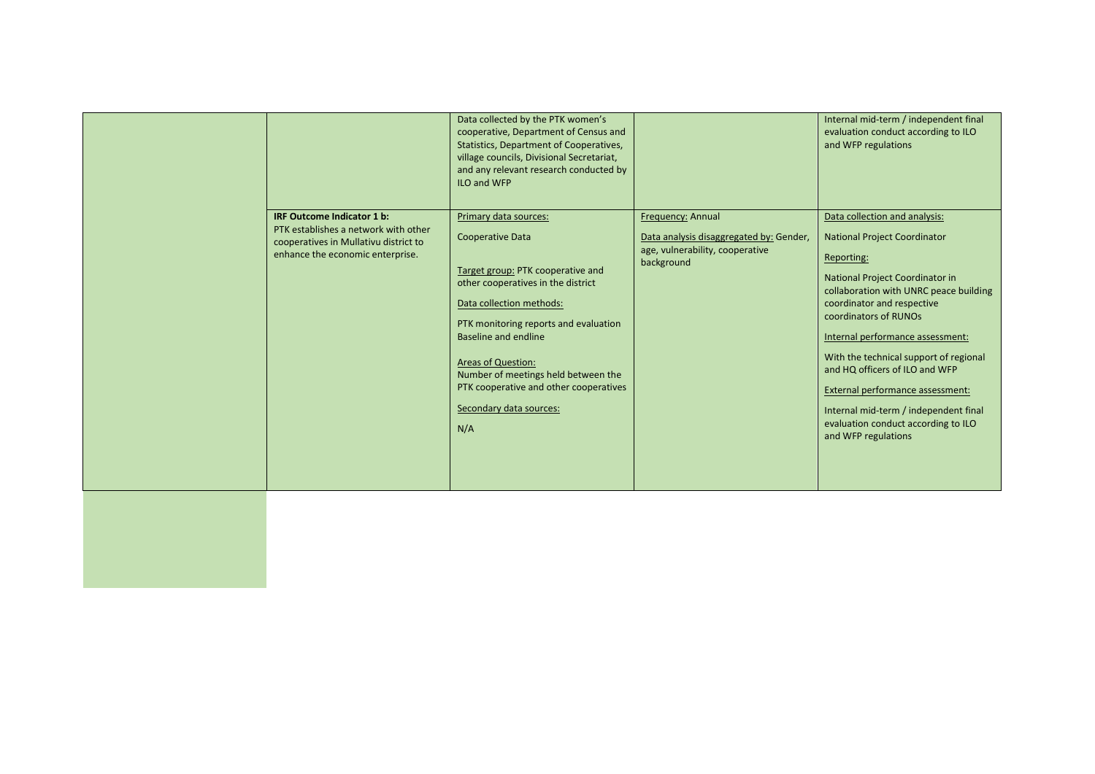| IRF Outcome Indicator 1 b:<br>PTK establishes a network with other<br>cooperatives in Mullativu district to<br>enhance the economic enterprise. | Data collected by the PTK women's<br>cooperative, Department of Census and<br>Statistics, Department of Cooperatives,<br>village councils, Divisional Secretariat,<br>and any relevant research conducted by<br>ILO and WFP<br>Primary data sources:<br><b>Cooperative Data</b><br>Target group: PTK cooperative and<br>other cooperatives in the district<br>Data collection methods:<br>PTK monitoring reports and evaluation<br>Baseline and endline<br><b>Areas of Question:</b><br>Number of meetings held between the<br>PTK cooperative and other cooperatives | Frequency: Annual<br>Data analysis disaggregated by: Gender,<br>age, vulnerability, cooperative<br>background | Internal mid-term / independent final<br>evaluation conduct according to ILO<br>and WFP regulations<br>Data collection and analysis:<br><b>National Project Coordinator</b><br>Reporting:<br>National Project Coordinator in<br>collaboration with UNRC peace building<br>coordinator and respective<br>coordinators of RUNOs<br>Internal performance assessment:<br>With the technical support of regional<br>and HQ officers of ILO and WFP<br>External performance assessment: |
|-------------------------------------------------------------------------------------------------------------------------------------------------|-----------------------------------------------------------------------------------------------------------------------------------------------------------------------------------------------------------------------------------------------------------------------------------------------------------------------------------------------------------------------------------------------------------------------------------------------------------------------------------------------------------------------------------------------------------------------|---------------------------------------------------------------------------------------------------------------|-----------------------------------------------------------------------------------------------------------------------------------------------------------------------------------------------------------------------------------------------------------------------------------------------------------------------------------------------------------------------------------------------------------------------------------------------------------------------------------|
|                                                                                                                                                 | Secondary data sources:<br>N/A                                                                                                                                                                                                                                                                                                                                                                                                                                                                                                                                        |                                                                                                               | Internal mid-term / independent final<br>evaluation conduct according to ILO<br>and WFP regulations                                                                                                                                                                                                                                                                                                                                                                               |
|                                                                                                                                                 |                                                                                                                                                                                                                                                                                                                                                                                                                                                                                                                                                                       |                                                                                                               |                                                                                                                                                                                                                                                                                                                                                                                                                                                                                   |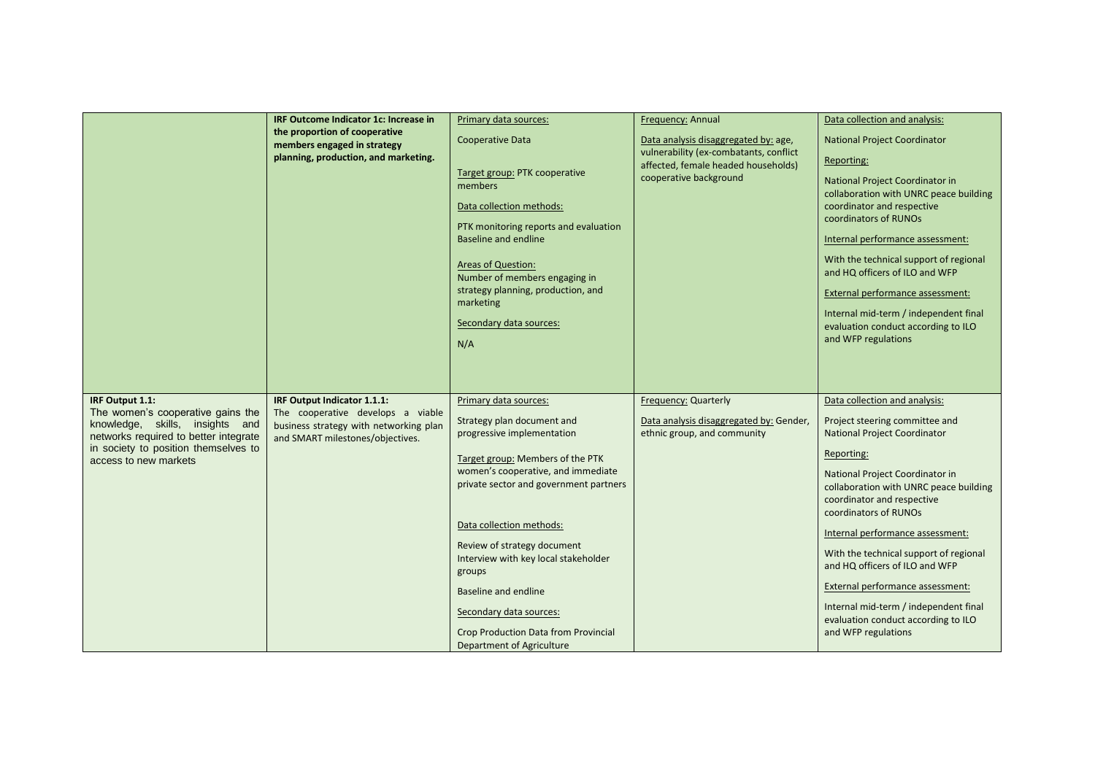|                                                                                                                                                                                                   | IRF Outcome Indicator 1c: Increase in<br>the proportion of cooperative<br>members engaged in strategy<br>planning, production, and marketing.  | Primary data sources:<br>Cooperative Data<br>Target group: PTK cooperative<br>members<br>Data collection methods:<br>PTK monitoring reports and evaluation<br>Baseline and endline<br><b>Areas of Question:</b><br>Number of members engaging in<br>strategy planning, production, and<br>marketing<br>Secondary data sources:<br>N/A                                                                                                                    | Frequency: Annual<br>Data analysis disaggregated by: age,<br>vulnerability (ex-combatants, conflict<br>affected, female headed households)<br>cooperative background | Data collection and analysis:<br><b>National Project Coordinator</b><br>Reporting:<br>National Project Coordinator in<br>collaboration with UNRC peace building<br>coordinator and respective<br>coordinators of RUNOs<br>Internal performance assessment:<br>With the technical support of regional<br>and HQ officers of ILO and WFP<br>External performance assessment:<br>Internal mid-term / independent final<br>evaluation conduct according to ILO<br>and WFP regulations                                   |
|---------------------------------------------------------------------------------------------------------------------------------------------------------------------------------------------------|------------------------------------------------------------------------------------------------------------------------------------------------|----------------------------------------------------------------------------------------------------------------------------------------------------------------------------------------------------------------------------------------------------------------------------------------------------------------------------------------------------------------------------------------------------------------------------------------------------------|----------------------------------------------------------------------------------------------------------------------------------------------------------------------|---------------------------------------------------------------------------------------------------------------------------------------------------------------------------------------------------------------------------------------------------------------------------------------------------------------------------------------------------------------------------------------------------------------------------------------------------------------------------------------------------------------------|
|                                                                                                                                                                                                   |                                                                                                                                                |                                                                                                                                                                                                                                                                                                                                                                                                                                                          |                                                                                                                                                                      |                                                                                                                                                                                                                                                                                                                                                                                                                                                                                                                     |
| IRF Output 1.1:<br>The women's cooperative gains the<br>knowledge, skills, insights and<br>networks required to better integrate<br>in society to position themselves to<br>access to new markets | IRF Output Indicator 1.1.1:<br>The cooperative develops a viable<br>business strategy with networking plan<br>and SMART milestones/objectives. | Primary data sources:<br>Strategy plan document and<br>progressive implementation<br>Target group: Members of the PTK<br>women's cooperative, and immediate<br>private sector and government partners<br>Data collection methods:<br>Review of strategy document<br>Interview with key local stakeholder<br>groups<br>Baseline and endline<br>Secondary data sources:<br><b>Crop Production Data from Provincial</b><br><b>Department of Agriculture</b> | Frequency: Quarterly<br>Data analysis disaggregated by: Gender,<br>ethnic group, and community                                                                       | Data collection and analysis:<br>Project steering committee and<br><b>National Project Coordinator</b><br>Reporting:<br>National Project Coordinator in<br>collaboration with UNRC peace building<br>coordinator and respective<br>coordinators of RUNOs<br>Internal performance assessment:<br>With the technical support of regional<br>and HQ officers of ILO and WFP<br>External performance assessment:<br>Internal mid-term / independent final<br>evaluation conduct according to ILO<br>and WFP regulations |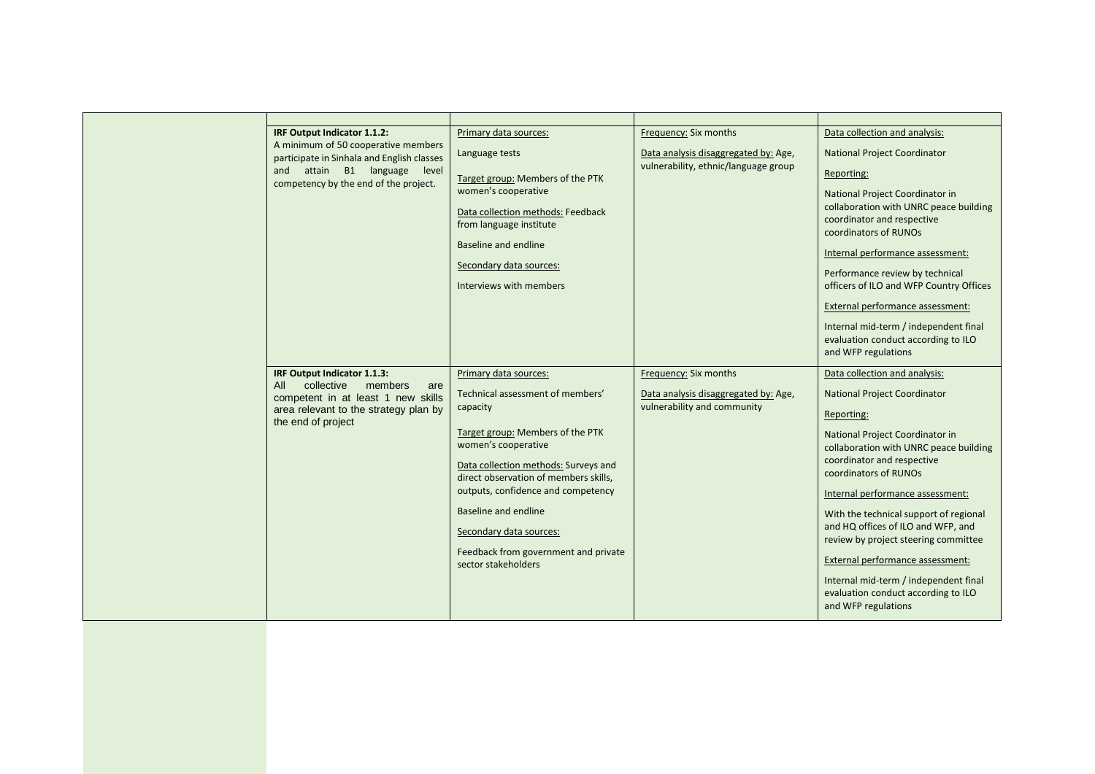| IRF Output Indicator 1.1.2:<br>A minimum of 50 cooperative members<br>participate in Sinhala and English classes<br>and attain B1 language<br>level<br>competency by the end of the project. | Primary data sources:<br>Language tests<br>Target group: Members of the PTK<br>women's cooperative<br>Data collection methods: Feedback<br>from language institute<br>Baseline and endline<br>Secondary data sources:<br>Interviews with members                                                                                                                          | Frequency: Six months<br>Data analysis disaggregated by: Age,<br>vulnerability, ethnic/language group | Data collection and analysis:<br><b>National Project Coordinator</b><br>Reporting:<br>National Project Coordinator in<br>collaboration with UNRC peace building<br>coordinator and respective<br>coordinators of RUNOs<br>Internal performance assessment:<br>Performance review by technical<br>officers of ILO and WFP Country Offices<br>External performance assessment:<br>Internal mid-term / independent final<br>evaluation conduct according to ILO<br>and WFP regulations                                           |
|----------------------------------------------------------------------------------------------------------------------------------------------------------------------------------------------|---------------------------------------------------------------------------------------------------------------------------------------------------------------------------------------------------------------------------------------------------------------------------------------------------------------------------------------------------------------------------|-------------------------------------------------------------------------------------------------------|-------------------------------------------------------------------------------------------------------------------------------------------------------------------------------------------------------------------------------------------------------------------------------------------------------------------------------------------------------------------------------------------------------------------------------------------------------------------------------------------------------------------------------|
| IRF Output Indicator 1.1.3:<br>collective<br>members<br>All<br>are<br>competent in at least 1 new skills<br>area relevant to the strategy plan by<br>the end of project                      | Primary data sources:<br>Technical assessment of members'<br>capacity<br>Target group: Members of the PTK<br>women's cooperative<br>Data collection methods: Surveys and<br>direct observation of members skills,<br>outputs, confidence and competency<br>Baseline and endline<br>Secondary data sources:<br>Feedback from government and private<br>sector stakeholders | Frequency: Six months<br>Data analysis disaggregated by: Age,<br>vulnerability and community          | Data collection and analysis:<br><b>National Project Coordinator</b><br>Reporting:<br>National Project Coordinator in<br>collaboration with UNRC peace building<br>coordinator and respective<br>coordinators of RUNOs<br>Internal performance assessment:<br>With the technical support of regional<br>and HQ offices of ILO and WFP, and<br>review by project steering committee<br>External performance assessment:<br>Internal mid-term / independent final<br>evaluation conduct according to ILO<br>and WFP regulations |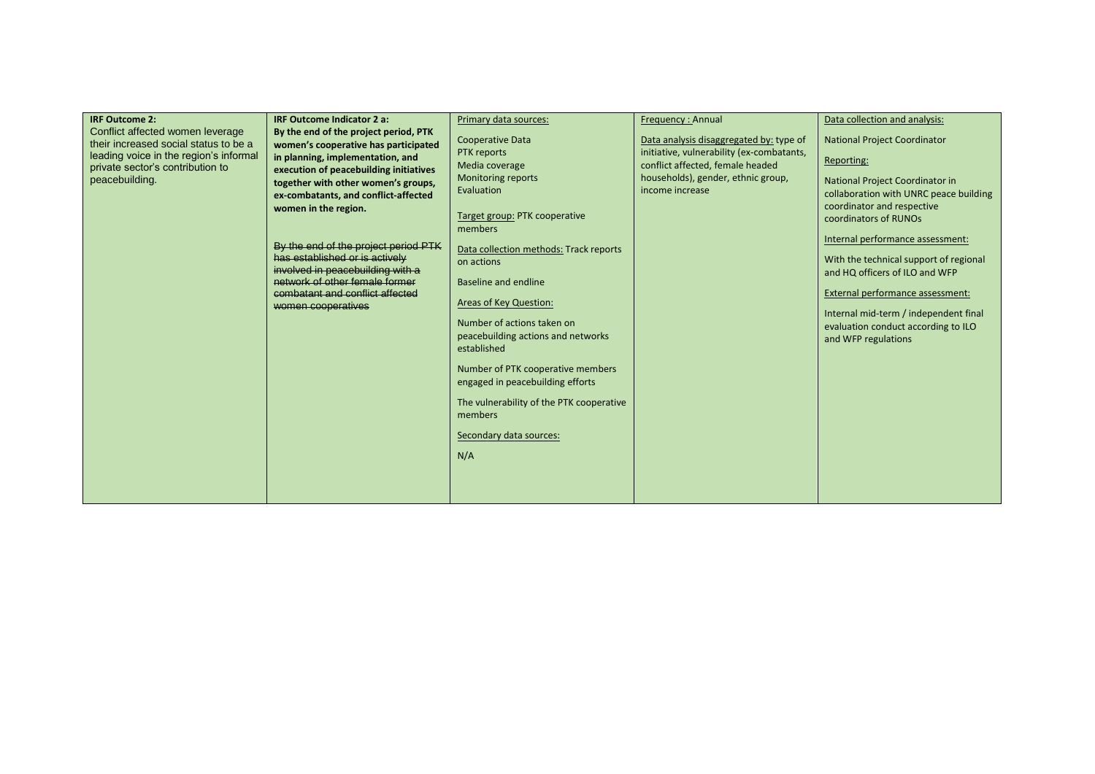| <b>IRF Outcome 2:</b><br>Conflict affected women leverage<br>their increased social status to be a<br>leading voice in the region's informal<br>private sector's contribution to<br>peacebuilding. | <b>IRF Outcome Indicator 2 a:</b><br>By the end of the project period, PTK<br>women's cooperative has participated<br>in planning, implementation, and<br>execution of peacebuilding initiatives<br>together with other women's groups,<br>ex-combatants, and conflict-affected<br>women in the region.<br>By the end of the project period PTK<br>has established or is actively<br>involved in peacebuilding with a<br>network of other female former<br>combatant and conflict affected<br>women cooperatives | Primary data sources:<br>Cooperative Data<br>PTK reports<br>Media coverage<br><b>Monitoring reports</b><br>Evaluation<br>Target group: PTK cooperative<br>members<br>Data collection methods: Track reports<br>on actions<br>Baseline and endline<br>Areas of Key Question:<br>Number of actions taken on<br>peacebuilding actions and networks<br>established<br>Number of PTK cooperative members<br>engaged in peacebuilding efforts<br>The vulnerability of the PTK cooperative<br>members<br>Secondary data sources: | <b>Frequency: Annual</b><br>Data analysis disaggregated by: type of<br>initiative, vulnerability (ex-combatants,<br>conflict affected, female headed<br>households), gender, ethnic group,<br>income increase | Data collection and analysis:<br><b>National Project Coordinator</b><br>Reporting:<br>National Project Coordinator in<br>collaboration with UNRC peace building<br>coordinator and respective<br>coordinators of RUNOs<br>Internal performance assessment:<br>With the technical support of regional<br>and HQ officers of ILO and WFP<br>External performance assessment:<br>Internal mid-term / independent final<br>evaluation conduct according to ILO<br>and WFP regulations |
|----------------------------------------------------------------------------------------------------------------------------------------------------------------------------------------------------|------------------------------------------------------------------------------------------------------------------------------------------------------------------------------------------------------------------------------------------------------------------------------------------------------------------------------------------------------------------------------------------------------------------------------------------------------------------------------------------------------------------|---------------------------------------------------------------------------------------------------------------------------------------------------------------------------------------------------------------------------------------------------------------------------------------------------------------------------------------------------------------------------------------------------------------------------------------------------------------------------------------------------------------------------|---------------------------------------------------------------------------------------------------------------------------------------------------------------------------------------------------------------|-----------------------------------------------------------------------------------------------------------------------------------------------------------------------------------------------------------------------------------------------------------------------------------------------------------------------------------------------------------------------------------------------------------------------------------------------------------------------------------|
|                                                                                                                                                                                                    |                                                                                                                                                                                                                                                                                                                                                                                                                                                                                                                  | N/A                                                                                                                                                                                                                                                                                                                                                                                                                                                                                                                       |                                                                                                                                                                                                               |                                                                                                                                                                                                                                                                                                                                                                                                                                                                                   |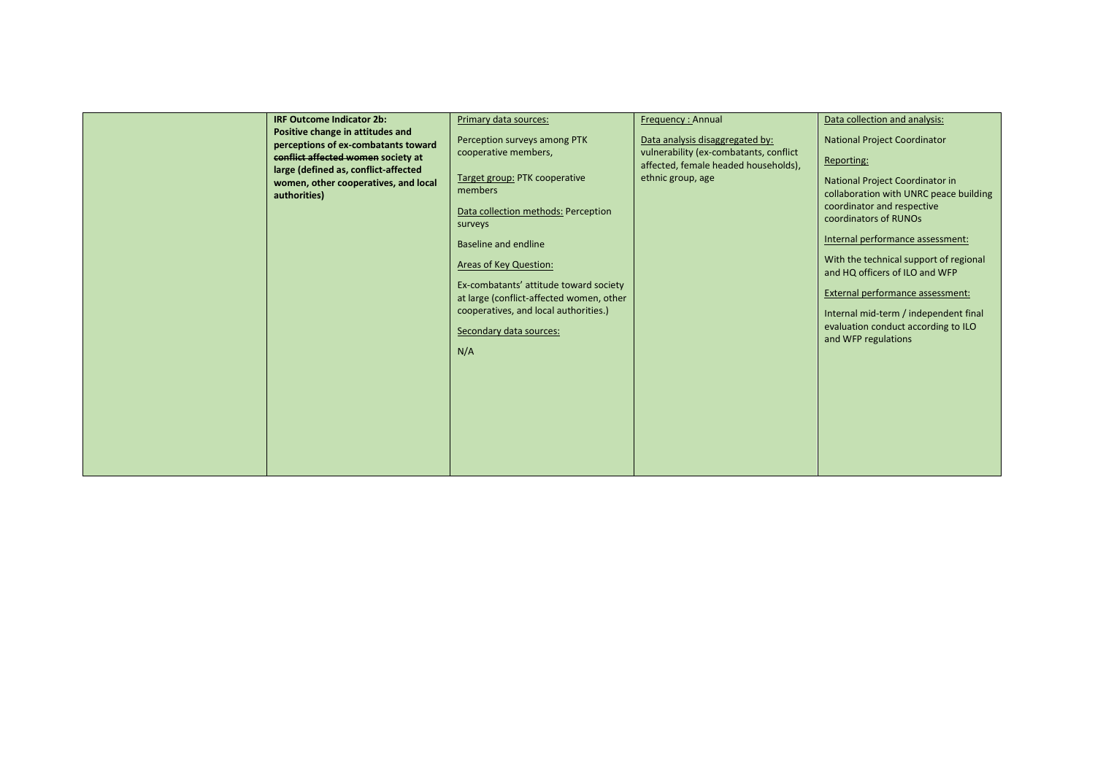| <b>IRF Outcome Indicator 2b:</b><br>Positive change in attitudes and<br>perceptions of ex-combatants toward<br>conflict affected women society at<br>large (defined as, conflict-affected<br>women, other cooperatives, and local<br>authorities)<br>N/A | Primary data sources:<br>Perception surveys among PTK<br>cooperative members,<br>Target group: PTK cooperative<br>members<br>Data collection methods: Perception<br>surveys<br>Baseline and endline<br><b>Areas of Key Question:</b><br>Ex-combatants' attitude toward society<br>at large (conflict-affected women, other<br>cooperatives, and local authorities.)<br>Secondary data sources: | Frequency: Annual<br>Data analysis disaggregated by:<br>vulnerability (ex-combatants, conflict<br>affected, female headed households),<br>ethnic group, age | Data collection and analysis:<br><b>National Project Coordinator</b><br>Reporting:<br>National Project Coordinator in<br>collaboration with UNRC peace building<br>coordinator and respective<br>coordinators of RUNOs<br>Internal performance assessment:<br>With the technical support of regional<br>and HQ officers of ILO and WFP<br>External performance assessment:<br>Internal mid-term / independent final<br>evaluation conduct according to ILO<br>and WFP regulations |
|----------------------------------------------------------------------------------------------------------------------------------------------------------------------------------------------------------------------------------------------------------|------------------------------------------------------------------------------------------------------------------------------------------------------------------------------------------------------------------------------------------------------------------------------------------------------------------------------------------------------------------------------------------------|-------------------------------------------------------------------------------------------------------------------------------------------------------------|-----------------------------------------------------------------------------------------------------------------------------------------------------------------------------------------------------------------------------------------------------------------------------------------------------------------------------------------------------------------------------------------------------------------------------------------------------------------------------------|
|----------------------------------------------------------------------------------------------------------------------------------------------------------------------------------------------------------------------------------------------------------|------------------------------------------------------------------------------------------------------------------------------------------------------------------------------------------------------------------------------------------------------------------------------------------------------------------------------------------------------------------------------------------------|-------------------------------------------------------------------------------------------------------------------------------------------------------------|-----------------------------------------------------------------------------------------------------------------------------------------------------------------------------------------------------------------------------------------------------------------------------------------------------------------------------------------------------------------------------------------------------------------------------------------------------------------------------------|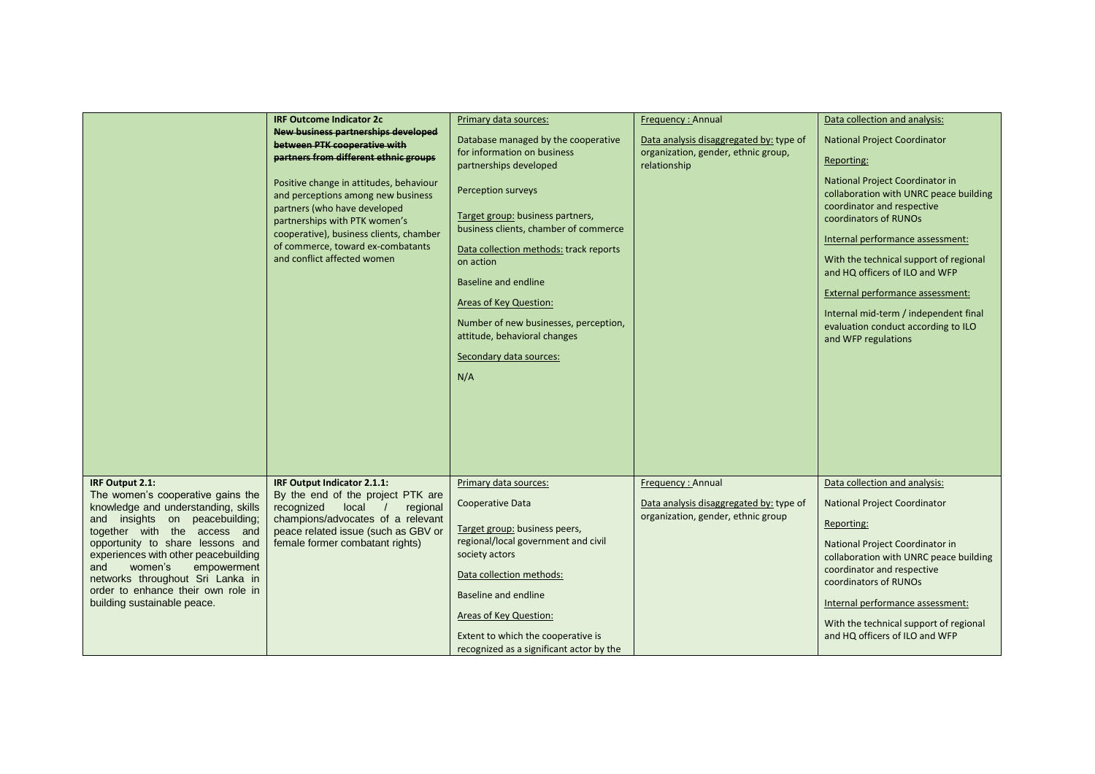|                                                                        | <b>IRF Outcome Indicator 2c</b>                                                                                                                                                                                                                               | Primary data sources:                                                                                                                                                                                                                                                                                               | Frequency: Annual                                                             | Data collection and analysis:                                                                                                                                                                                                                                                                                                                                                               |
|------------------------------------------------------------------------|---------------------------------------------------------------------------------------------------------------------------------------------------------------------------------------------------------------------------------------------------------------|---------------------------------------------------------------------------------------------------------------------------------------------------------------------------------------------------------------------------------------------------------------------------------------------------------------------|-------------------------------------------------------------------------------|---------------------------------------------------------------------------------------------------------------------------------------------------------------------------------------------------------------------------------------------------------------------------------------------------------------------------------------------------------------------------------------------|
|                                                                        | <b>New business partnerships developed</b>                                                                                                                                                                                                                    | Database managed by the cooperative                                                                                                                                                                                                                                                                                 | Data analysis disaggregated by: type of                                       | <b>National Project Coordinator</b>                                                                                                                                                                                                                                                                                                                                                         |
|                                                                        | between PTK cooperative with<br>partners from different ethnic groups                                                                                                                                                                                         | for information on business                                                                                                                                                                                                                                                                                         | organization, gender, ethnic group,                                           |                                                                                                                                                                                                                                                                                                                                                                                             |
|                                                                        |                                                                                                                                                                                                                                                               | partnerships developed                                                                                                                                                                                                                                                                                              | relationship                                                                  | Reporting:                                                                                                                                                                                                                                                                                                                                                                                  |
|                                                                        | Positive change in attitudes, behaviour<br>and perceptions among new business<br>partners (who have developed<br>partnerships with PTK women's<br>cooperative), business clients, chamber<br>of commerce, toward ex-combatants<br>and conflict affected women | Perception surveys<br>Target group: business partners,<br>business clients, chamber of commerce<br>Data collection methods: track reports<br>on action<br>Baseline and endline<br>Areas of Key Question:<br>Number of new businesses, perception,<br>attitude, behavioral changes<br>Secondary data sources:<br>N/A |                                                                               | National Project Coordinator in<br>collaboration with UNRC peace building<br>coordinator and respective<br>coordinators of RUNOs<br>Internal performance assessment:<br>With the technical support of regional<br>and HQ officers of ILO and WFP<br>External performance assessment:<br>Internal mid-term / independent final<br>evaluation conduct according to ILO<br>and WFP regulations |
|                                                                        |                                                                                                                                                                                                                                                               |                                                                                                                                                                                                                                                                                                                     |                                                                               |                                                                                                                                                                                                                                                                                                                                                                                             |
| IRF Output 2.1:<br>The women's cooperative gains the                   | IRF Output Indicator 2.1.1:<br>By the end of the project PTK are                                                                                                                                                                                              | Primary data sources:                                                                                                                                                                                                                                                                                               | Frequency: Annual                                                             | Data collection and analysis:                                                                                                                                                                                                                                                                                                                                                               |
| knowledge and understanding, skills                                    | recognized local /<br>regional                                                                                                                                                                                                                                | Cooperative Data                                                                                                                                                                                                                                                                                                    | Data analysis disaggregated by: type of<br>organization, gender, ethnic group | <b>National Project Coordinator</b>                                                                                                                                                                                                                                                                                                                                                         |
| and insights on peacebuilding;<br>together with the access and         | champions/advocates of a relevant<br>peace related issue (such as GBV or                                                                                                                                                                                      | Target group: business peers,                                                                                                                                                                                                                                                                                       |                                                                               | Reporting:                                                                                                                                                                                                                                                                                                                                                                                  |
| opportunity to share lessons and                                       | female former combatant rights)                                                                                                                                                                                                                               | regional/local government and civil                                                                                                                                                                                                                                                                                 |                                                                               | National Project Coordinator in                                                                                                                                                                                                                                                                                                                                                             |
| experiences with other peacebuilding                                   |                                                                                                                                                                                                                                                               | society actors                                                                                                                                                                                                                                                                                                      |                                                                               | collaboration with UNRC peace building                                                                                                                                                                                                                                                                                                                                                      |
| empowerment<br>women's<br>and                                          |                                                                                                                                                                                                                                                               | Data collection methods:                                                                                                                                                                                                                                                                                            |                                                                               | coordinator and respective                                                                                                                                                                                                                                                                                                                                                                  |
| networks throughout Sri Lanka in<br>order to enhance their own role in |                                                                                                                                                                                                                                                               |                                                                                                                                                                                                                                                                                                                     |                                                                               | coordinators of RUNOs                                                                                                                                                                                                                                                                                                                                                                       |
| building sustainable peace.                                            |                                                                                                                                                                                                                                                               | <b>Baseline and endline</b>                                                                                                                                                                                                                                                                                         |                                                                               | Internal performance assessment:                                                                                                                                                                                                                                                                                                                                                            |
|                                                                        |                                                                                                                                                                                                                                                               | Areas of Key Question:                                                                                                                                                                                                                                                                                              |                                                                               | With the technical support of regional                                                                                                                                                                                                                                                                                                                                                      |
|                                                                        |                                                                                                                                                                                                                                                               | Extent to which the cooperative is                                                                                                                                                                                                                                                                                  |                                                                               | and HQ officers of ILO and WFP                                                                                                                                                                                                                                                                                                                                                              |
|                                                                        |                                                                                                                                                                                                                                                               | recognized as a significant actor by the                                                                                                                                                                                                                                                                            |                                                                               |                                                                                                                                                                                                                                                                                                                                                                                             |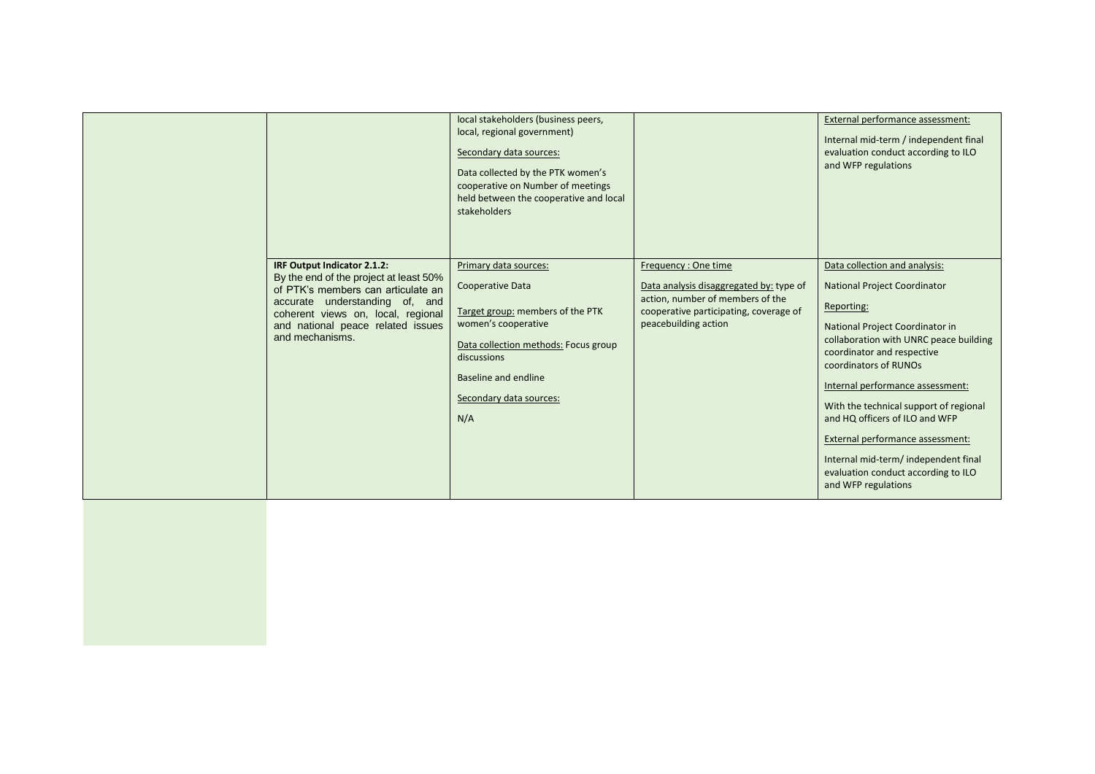|                                                                                                                                                                                                                                             | local stakeholders (business peers,<br>local, regional government)<br>Secondary data sources:<br>Data collected by the PTK women's<br>cooperative on Number of meetings<br>held between the cooperative and local<br>stakeholders |                                                                                                                                                                      | External performance assessment:<br>Internal mid-term / independent final<br>evaluation conduct according to ILO<br>and WFP regulations                                                                                                                                                                                                                                                                                                                                          |
|---------------------------------------------------------------------------------------------------------------------------------------------------------------------------------------------------------------------------------------------|-----------------------------------------------------------------------------------------------------------------------------------------------------------------------------------------------------------------------------------|----------------------------------------------------------------------------------------------------------------------------------------------------------------------|----------------------------------------------------------------------------------------------------------------------------------------------------------------------------------------------------------------------------------------------------------------------------------------------------------------------------------------------------------------------------------------------------------------------------------------------------------------------------------|
| IRF Output Indicator 2.1.2:<br>By the end of the project at least 50%<br>of PTK's members can articulate an<br>accurate understanding of, and<br>coherent views on, local, regional<br>and national peace related issues<br>and mechanisms. | Primary data sources:<br>Cooperative Data<br>Target group: members of the PTK<br>women's cooperative<br>Data collection methods: Focus group<br>discussions<br>Baseline and endline<br>Secondary data sources:<br>N/A             | Frequency: One time<br>Data analysis disaggregated by: type of<br>action, number of members of the<br>cooperative participating, coverage of<br>peacebuilding action | Data collection and analysis:<br><b>National Project Coordinator</b><br>Reporting:<br>National Project Coordinator in<br>collaboration with UNRC peace building<br>coordinator and respective<br>coordinators of RUNOs<br>Internal performance assessment:<br>With the technical support of regional<br>and HQ officers of ILO and WFP<br>External performance assessment:<br>Internal mid-term/ independent final<br>evaluation conduct according to ILO<br>and WFP regulations |